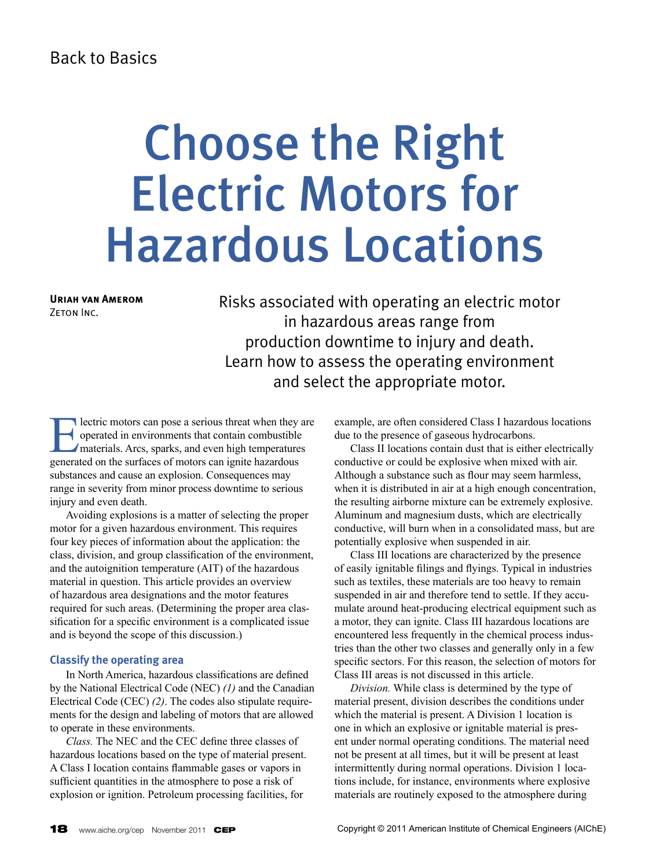## Back to Basics

# Choose the Right Electric Motors for Hazardous Locations

**Uriah van Amerom** ZETON INC.

Risks associated with operating an electric motor in hazardous areas range from production downtime to injury and death. Learn how to assess the operating environment and select the appropriate motor.

Electric motors can pose a serious threat when they are<br>operated in environments that contain combustible<br>materials. Arcs, sparks, and even high temperatures<br>generated on the surfaces of motors can ignite hazardous operated in environments that contain combustible materials. Arcs, sparks, and even high temperatures generated on the surfaces of motors can ignite hazardous substances and cause an explosion. Consequences may range in severity from minor process downtime to serious injury and even death.

Avoiding explosions is a matter of selecting the proper motor for a given hazardous environment. This requires four key pieces of information about the application: the class, division, and group classification of the environment, and the autoignition temperature (AIT) of the hazardous material in question. This article provides an overview of hazardous area designations and the motor features required for such areas. (Determining the proper area classification for a specific environment is a complicated issue and is beyond the scope of this discussion.)

## **Classify the operating area**

In North America, hazardous classifications are defined by the National Electrical Code (NEC) *(1)* and the Canadian Electrical Code (CEC) *(2)*. The codes also stipulate requirements for the design and labeling of motors that are allowed to operate in these environments.

*Class.* The NEC and the CEC define three classes of hazardous locations based on the type of material present. A Class I location contains flammable gases or vapors in sufficient quantities in the atmosphere to pose a risk of explosion or ignition. Petroleum processing facilities, for

example, are often considered Class I hazardous locations due to the presence of gaseous hydrocarbons.

Class II locations contain dust that is either electrically conductive or could be explosive when mixed with air. Although a substance such as flour may seem harmless, when it is distributed in air at a high enough concentration, the resulting airborne mixture can be extremely explosive. Aluminum and magnesium dusts, which are electrically conductive, will burn when in a consolidated mass, but are potentially explosive when suspended in air.

Class III locations are characterized by the presence of easily ignitable filings and flyings. Typical in industries such as textiles, these materials are too heavy to remain suspended in air and therefore tend to settle. If they accumulate around heat-producing electrical equipment such as a motor, they can ignite. Class III hazardous locations are encountered less frequently in the chemical process industries than the other two classes and generally only in a few specific sectors. For this reason, the selection of motors for Class III areas is not discussed in this article.

*Division.* While class is determined by the type of material present, division describes the conditions under which the material is present. A Division 1 location is one in which an explosive or ignitable material is present under normal operating conditions. The material need not be present at all times, but it will be present at least intermittently during normal operations. Division 1 locations include, for instance, environments where explosive materials are routinely exposed to the atmosphere during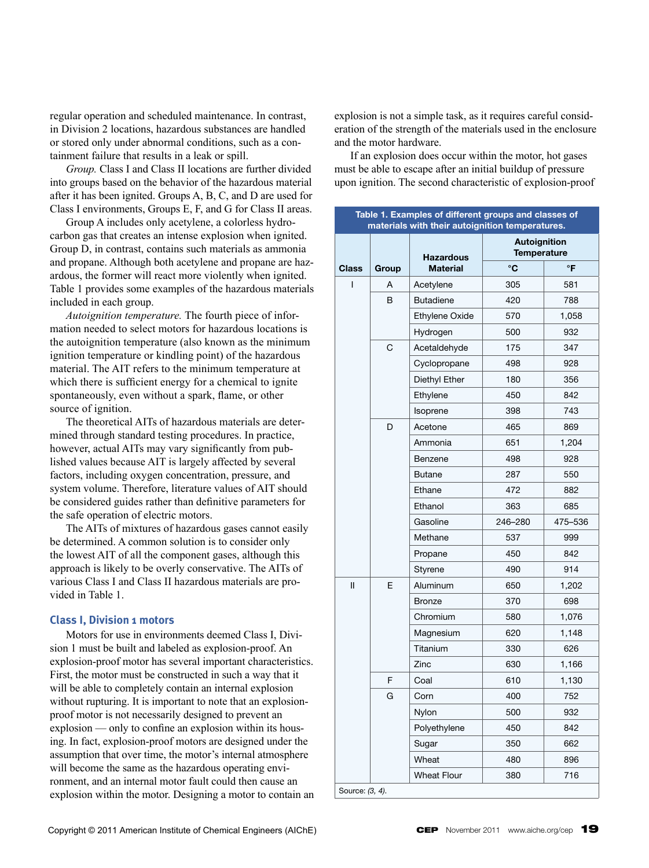regular operation and scheduled maintenance. In contrast, in Division 2 locations, hazardous substances are handled or stored only under abnormal conditions, such as a containment failure that results in a leak or spill.

*Group.* Class I and Class II locations are further divided into groups based on the behavior of the hazardous material after it has been ignited. Groups A, B, C, and D are used for Class I environments, Groups E, F, and G for Class II areas.

Group A includes only acetylene, a colorless hydrocarbon gas that creates an intense explosion when ignited. Group D, in contrast, contains such materials as ammonia and propane. Although both acetylene and propane are hazardous, the former will react more violently when ignited. Table 1 provides some examples of the hazardous materials included in each group.

*Autoignition temperature.* The fourth piece of information needed to select motors for hazardous locations is the autoignition temperature (also known as the minimum ignition temperature or kindling point) of the hazardous material. The AIT refers to the minimum temperature at which there is sufficient energy for a chemical to ignite spontaneously, even without a spark, flame, or other source of ignition.

The theoretical AITs of hazardous materials are determined through standard testing procedures. In practice, however, actual AITs may vary significantly from published values because AIT is largely affected by several factors, including oxygen concentration, pressure, and system volume. Therefore, literature values of AIT should be considered guides rather than definitive parameters for the safe operation of electric motors.

The AITs of mixtures of hazardous gases cannot easily be determined. A common solution is to consider only the lowest AIT of all the component gases, although this approach is likely to be overly conservative. The AITs of various Class I and Class II hazardous materials are provided in Table 1.

## **Class I, Division 1 motors**

Motors for use in environments deemed Class I, Division 1 must be built and labeled as explosion-proof. An explosion-proof motor has several important characteristics. First, the motor must be constructed in such a way that it will be able to completely contain an internal explosion without rupturing. It is important to note that an explosionproof motor is not necessarily designed to prevent an explosion — only to confine an explosion within its housing. In fact, explosion-proof motors are designed under the assumption that over time, the motor's internal atmosphere will become the same as the hazardous operating environment, and an internal motor fault could then cause an explosion within the motor. Designing a motor to contain an

explosion is not a simple task, as it requires careful consideration of the strength of the materials used in the enclosure and the motor hardware.

If an explosion does occur within the motor, hot gases must be able to escape after an initial buildup of pressure upon ignition. The second characteristic of explosion-proof

| Table 1. Examples of different groups and classes of<br>materials with their autoignition temperatures. |       |                    |                                                                                         |                                           |  |
|---------------------------------------------------------------------------------------------------------|-------|--------------------|-----------------------------------------------------------------------------------------|-------------------------------------------|--|
|                                                                                                         |       | <b>Hazardous</b>   |                                                                                         | <b>Autoignition</b><br><b>Temperature</b> |  |
| <b>Class</b>                                                                                            | Group | <b>Material</b>    | °C                                                                                      | °F                                        |  |
| I                                                                                                       | A     | Acetylene          | 305                                                                                     | 581                                       |  |
|                                                                                                         | в     | <b>Butadiene</b>   | 420                                                                                     | 788                                       |  |
|                                                                                                         |       | Ethylene Oxide     | 570                                                                                     | 1,058                                     |  |
|                                                                                                         |       | Hydrogen           | 500                                                                                     | 932                                       |  |
|                                                                                                         | С     | Acetaldehyde       | 175                                                                                     | 347                                       |  |
|                                                                                                         |       | Cyclopropane       | 498                                                                                     | 928                                       |  |
|                                                                                                         |       | Diethyl Ether      | 180                                                                                     | 356                                       |  |
|                                                                                                         |       | Ethylene           | 450                                                                                     | 842                                       |  |
|                                                                                                         |       | Isoprene           | 398                                                                                     | 743                                       |  |
|                                                                                                         | D     | Acetone            | 465                                                                                     | 869                                       |  |
|                                                                                                         |       | Ammonia            | 651                                                                                     | 1,204                                     |  |
|                                                                                                         |       | Benzene            | 498                                                                                     | 928                                       |  |
|                                                                                                         |       | <b>Butane</b>      | 287                                                                                     | 550                                       |  |
|                                                                                                         |       | Ethane             | 472                                                                                     | 882                                       |  |
|                                                                                                         |       | Ethanol            | 363                                                                                     | 685                                       |  |
|                                                                                                         |       | Gasoline           | 246-280                                                                                 | 475–536                                   |  |
|                                                                                                         |       | Methane            | 537                                                                                     | 999                                       |  |
|                                                                                                         |       | Propane            | 450                                                                                     | 842                                       |  |
|                                                                                                         |       | Styrene            | 490                                                                                     | 914                                       |  |
| II                                                                                                      | E     | Aluminum           | 650<br>370<br>580<br>620<br>330<br>630<br>610<br>400<br>500<br>450<br>350<br>480<br>380 | 1,202                                     |  |
|                                                                                                         |       | <b>Bronze</b>      |                                                                                         | 698                                       |  |
|                                                                                                         |       | Chromium           |                                                                                         | 1,076                                     |  |
|                                                                                                         |       | Magnesium          |                                                                                         | 1,148                                     |  |
|                                                                                                         |       | Titanium           |                                                                                         | 626                                       |  |
|                                                                                                         |       | Zinc               |                                                                                         | 1,166                                     |  |
|                                                                                                         | F     | Coal               |                                                                                         | 1,130                                     |  |
|                                                                                                         | G     | Corn               |                                                                                         | 752                                       |  |
|                                                                                                         |       | Nylon              |                                                                                         | 932                                       |  |
|                                                                                                         |       | Polyethylene       |                                                                                         | 842                                       |  |
|                                                                                                         |       | Sugar              |                                                                                         | 662                                       |  |
|                                                                                                         |       | Wheat              |                                                                                         | 896                                       |  |
|                                                                                                         |       | <b>Wheat Flour</b> |                                                                                         | 716                                       |  |
| Source: (3, 4).                                                                                         |       |                    |                                                                                         |                                           |  |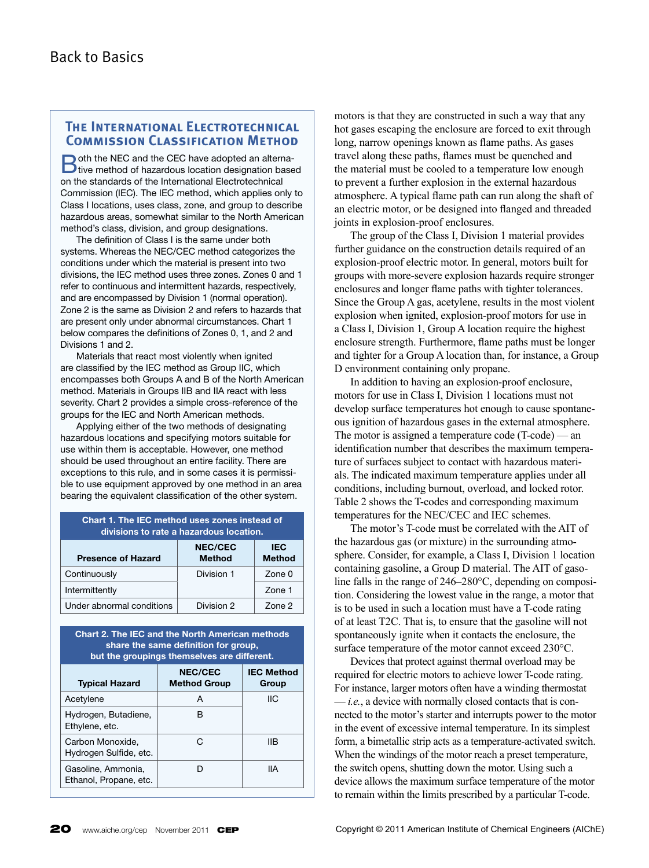## **The International Electrotechnical Commission Classification Method**

**D**oth the NEC and the CEC have adopted an alterna-<br>Dive method of hazardous location designation based on the standards of the International Electrotechnical Commission (IEC). The IEC method, which applies only to Class I locations, uses class, zone, and group to describe hazardous areas, somewhat similar to the North American method's class, division, and group designations.

The definition of Class I is the same under both systems. Whereas the NEC/CEC method categorizes the conditions under which the material is present into two divisions, the IEC method uses three zones. Zones 0 and 1 refer to continuous and intermittent hazards, respectively, and are encompassed by Division 1 (normal operation). Zone 2 is the same as Division 2 and refers to hazards that are present only under abnormal circumstances. Chart 1 below compares the definitions of Zones 0, 1, and 2 and Divisions 1 and 2.

Materials that react most violently when ignited are classified by the IEC method as Group IIC, which encompasses both Groups A and B of the North American method. Materials in Groups IIB and IIA react with less severity. Chart 2 provides a simple cross-reference of the groups for the IEC and North American methods.

Applying either of the two methods of designating hazardous locations and specifying motors suitable for use within them is acceptable. However, one method should be used throughout an entire facility. There are exceptions to this rule, and in some cases it is permissible to use equipment approved by one method in an area bearing the equivalent classification of the other system.

| Chart 1. The IEC method uses zones instead of<br>divisions to rate a hazardous location. |                                 |                             |  |  |  |
|------------------------------------------------------------------------------------------|---------------------------------|-----------------------------|--|--|--|
| <b>Presence of Hazard</b>                                                                | <b>NEC/CEC</b><br><b>Method</b> | <b>IEC</b><br><b>Method</b> |  |  |  |
| Continuously                                                                             | Division 1                      | Zone 0                      |  |  |  |
| Intermittently                                                                           |                                 | Zone 1                      |  |  |  |
| Under abnormal conditions                                                                | Division 2                      | Zone 2                      |  |  |  |

**Chart 2. The IEC and the North American methods share the same definition for group, but the groupings themselves are different.**

| <b>Typical Hazard</b>                        | <b>NEC/CEC</b><br><b>Method Group</b> | <b>IEC Method</b><br>Group |  |  |  |
|----------------------------------------------|---------------------------------------|----------------------------|--|--|--|
| Acetylene                                    | А                                     | IIС                        |  |  |  |
| Hydrogen, Butadiene,<br>Ethylene, etc.       | в                                     |                            |  |  |  |
| Carbon Monoxide.<br>Hydrogen Sulfide, etc.   | C.                                    | llВ                        |  |  |  |
| Gasoline, Ammonia,<br>Ethanol, Propane, etc. |                                       | IIА                        |  |  |  |

motors is that they are constructed in such a way that any hot gases escaping the enclosure are forced to exit through long, narrow openings known as flame paths. As gases travel along these paths, flames must be quenched and the material must be cooled to a temperature low enough to prevent a further explosion in the external hazardous atmosphere. A typical flame path can run along the shaft of an electric motor, or be designed into flanged and threaded joints in explosion-proof enclosures.

The group of the Class I, Division 1 material provides further guidance on the construction details required of an explosion-proof electric motor. In general, motors built for groups with more-severe explosion hazards require stronger enclosures and longer flame paths with tighter tolerances. Since the Group A gas, acetylene, results in the most violent explosion when ignited, explosion-proof motors for use in a Class I, Division 1, Group A location require the highest enclosure strength. Furthermore, flame paths must be longer and tighter for a Group A location than, for instance, a Group D environment containing only propane.

In addition to having an explosion-proof enclosure, motors for use in Class I, Division 1 locations must not develop surface temperatures hot enough to cause spontaneous ignition of hazardous gases in the external atmosphere. The motor is assigned a temperature code (T-code) — an identification number that describes the maximum temperature of surfaces subject to contact with hazardous materials. The indicated maximum temperature applies under all conditions, including burnout, overload, and locked rotor. Table 2 shows the T-codes and corresponding maximum temperatures for the NEC/CEC and IEC schemes.

The motor's T-code must be correlated with the AIT of the hazardous gas (or mixture) in the surrounding atmosphere. Consider, for example, a Class I, Division 1 location containing gasoline, a Group D material. The AIT of gasoline falls in the range of 246–280°C, depending on composition. Considering the lowest value in the range, a motor that is to be used in such a location must have a T-code rating of at least T2C. That is, to ensure that the gasoline will not spontaneously ignite when it contacts the enclosure, the surface temperature of the motor cannot exceed 230°C.

Devices that protect against thermal overload may be required for electric motors to achieve lower T-code rating. For instance, larger motors often have a winding thermostat — *i.e.*, a device with normally closed contacts that is connected to the motor's starter and interrupts power to the motor in the event of excessive internal temperature. In its simplest form, a bimetallic strip acts as a temperature-activated switch. When the windings of the motor reach a preset temperature, the switch opens, shutting down the motor. Using such a device allows the maximum surface temperature of the motor to remain within the limits prescribed by a particular T-code.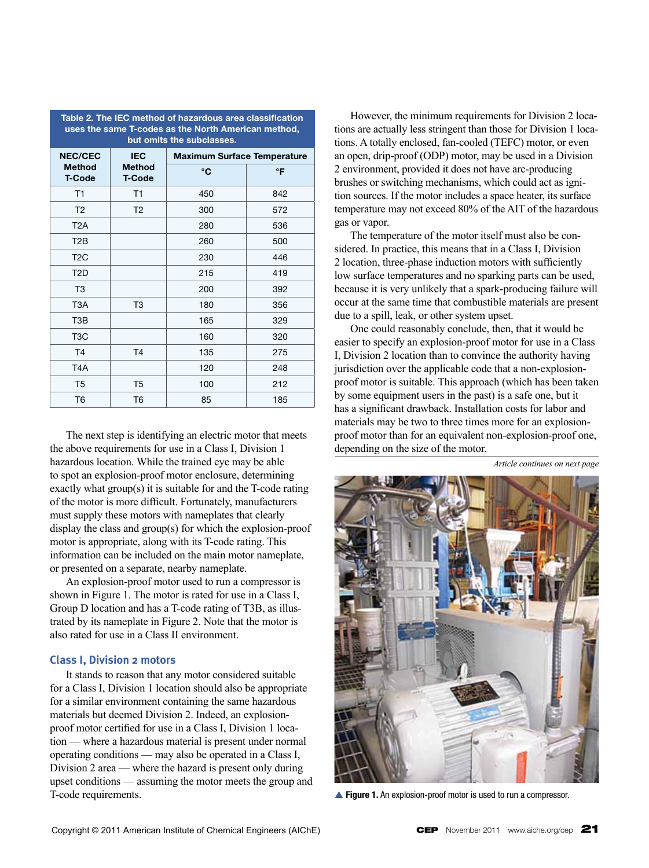| uses the same T-codes as the North American method,<br>but omits the subclasses. |                                |                                    |           |  |  |  |
|----------------------------------------------------------------------------------|--------------------------------|------------------------------------|-----------|--|--|--|
| <b>NEC/CEC</b>                                                                   | <b>IEC</b>                     | <b>Maximum Surface Temperature</b> |           |  |  |  |
| <b>Method</b><br><b>T-Code</b>                                                   | <b>Method</b><br><b>T-Code</b> | °C                                 | $\circ$ F |  |  |  |
| T1                                                                               | T1                             | 450                                | 842       |  |  |  |
| T <sub>2</sub>                                                                   | T <sub>2</sub>                 | 300                                | 572       |  |  |  |
| T <sub>2</sub> A                                                                 |                                | 280                                | 536       |  |  |  |
| T <sub>2</sub> B                                                                 |                                | 260                                | 500       |  |  |  |
| T <sub>2</sub> C                                                                 |                                | 230                                | 446       |  |  |  |
| T <sub>2</sub> D                                                                 |                                | 215                                | 419       |  |  |  |
| T <sub>3</sub>                                                                   |                                | 200                                | 392       |  |  |  |
| T3A                                                                              | T3                             | 180                                | 356       |  |  |  |
| T <sub>3</sub> B                                                                 |                                | 165                                | 329       |  |  |  |
| T <sub>3</sub> C                                                                 |                                | 160                                | 320       |  |  |  |
| T <sub>4</sub>                                                                   | T <sub>4</sub>                 | 135                                | 275       |  |  |  |
| T <sub>4</sub> A                                                                 |                                | 120                                | 248       |  |  |  |
| T <sub>5</sub>                                                                   | T <sub>5</sub>                 | 100                                | 212       |  |  |  |
| T6                                                                               | T6                             | 85                                 | 185       |  |  |  |

**Table 2. The IEC method of hazardous area classification uses the same T-codes as the North American method,** 

The next step is identifying an electric motor that meets the above requirements for use in a Class I, Division 1 hazardous location. While the trained eye may be able to spot an explosion-proof motor enclosure, determining exactly what group(s) it is suitable for and the T-code rating of the motor is more difficult. Fortunately, manufacturers must supply these motors with nameplates that clearly display the class and group(s) for which the explosion-proof motor is appropriate, along with its T-code rating. This information can be included on the main motor nameplate, or presented on a separate, nearby nameplate.

An explosion-proof motor used to run a compressor is shown in Figure 1. The motor is rated for use in a Class I, Group D location and has a T-code rating of T3B, as illustrated by its nameplate in Figure 2. Note that the motor is also rated for use in a Class II environment.

## **Class I, Division 2 motors**

It stands to reason that any motor considered suitable for a Class I, Division 1 location should also be appropriate for a similar environment containing the same hazardous materials but deemed Division 2. Indeed, an explosionproof motor certified for use in a Class I, Division 1 location — where a hazardous material is present under normal operating conditions — may also be operated in a Class I, Division 2 area — where the hazard is present only during upset conditions — assuming the motor meets the group and T-code requirements.

However, the minimum requirements for Division 2 locations are actually less stringent than those for Division 1 locations. A totally enclosed, fan-cooled (TEFC) motor, or even an open, drip-proof (ODP) motor, may be used in a Division 2 environment, provided it does not have arc-producing brushes or switching mechanisms, which could act as ignition sources. If the motor includes a space heater, its surface temperature may not exceed 80% of the AIT of the hazardous gas or vapor.

The temperature of the motor itself must also be considered. In practice, this means that in a Class I, Division 2 location, three-phase induction motors with sufficiently low surface temperatures and no sparking parts can be used, because it is very unlikely that a spark-producing failure will occur at the same time that combustible materials are present due to a spill, leak, or other system upset.

One could reasonably conclude, then, that it would be easier to specify an explosion-proof motor for use in a Class I, Division 2 location than to convince the authority having jurisdiction over the applicable code that a non-explosionproof motor is suitable. This approach (which has been taken by some equipment users in the past) is a safe one, but it has a significant drawback. Installation costs for labor and materials may be two to three times more for an explosionproof motor than for an equivalent non-explosion-proof one, depending on the size of the motor.

*Article continues on next page*



**Figure 1.** An explosion-proof motor is used to run a compressor.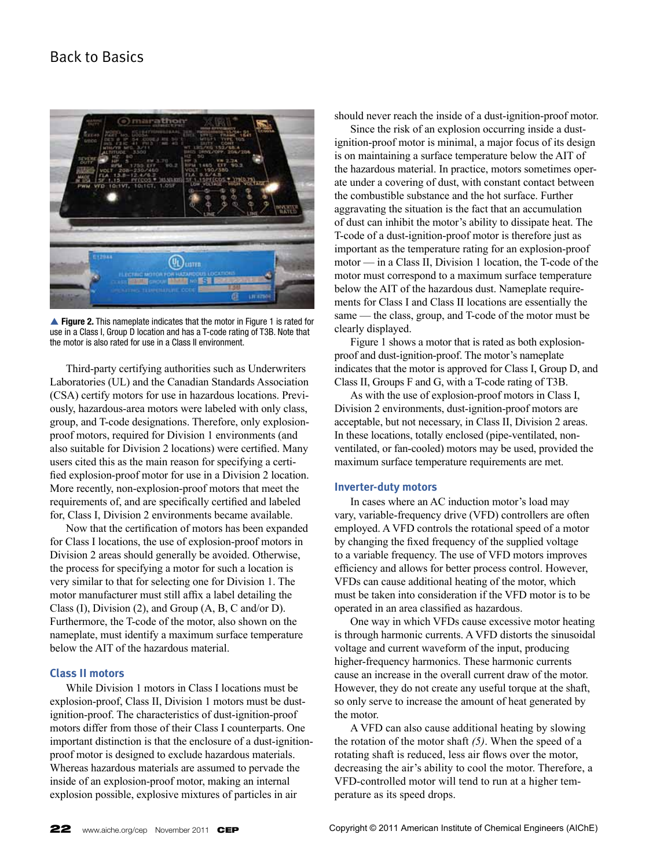## Back to Basics



▲ Figure 2. This nameplate indicates that the motor in Figure 1 is rated for use in a Class I, Group D location and has a T-code rating of T3B. Note that the motor is also rated for use in a Class II environment.

Third-party certifying authorities such as Underwriters Laboratories (UL) and the Canadian Standards Association (CSA) certify motors for use in hazardous locations. Previously, hazardous-area motors were labeled with only class, group, and T-code designations. Therefore, only explosionproof motors, required for Division 1 environments (and also suitable for Division 2 locations) were certified. Many users cited this as the main reason for specifying a certified explosion-proof motor for use in a Division 2 location. More recently, non-explosion-proof motors that meet the requirements of, and are specifically certified and labeled for, Class I, Division 2 environments became available.

Now that the certification of motors has been expanded for Class I locations, the use of explosion-proof motors in Division 2 areas should generally be avoided. Otherwise, the process for specifying a motor for such a location is very similar to that for selecting one for Division 1. The motor manufacturer must still affix a label detailing the Class (I), Division (2), and Group (A, B, C and/or D). Furthermore, the T-code of the motor, also shown on the nameplate, must identify a maximum surface temperature below the AIT of the hazardous material.

## **Class II motors**

While Division 1 motors in Class I locations must be explosion-proof, Class II, Division 1 motors must be dustignition-proof. The characteristics of dust-ignition-proof motors differ from those of their Class I counterparts. One important distinction is that the enclosure of a dust-ignitionproof motor is designed to exclude hazardous materials. Whereas hazardous materials are assumed to pervade the inside of an explosion-proof motor, making an internal explosion possible, explosive mixtures of particles in air

should never reach the inside of a dust-ignition-proof motor.

Since the risk of an explosion occurring inside a dustignition-proof motor is minimal, a major focus of its design is on maintaining a surface temperature below the AIT of the hazardous material. In practice, motors sometimes operate under a covering of dust, with constant contact between the combustible substance and the hot surface. Further aggravating the situation is the fact that an accumulation of dust can inhibit the motor's ability to dissipate heat. The T-code of a dust-ignition-proof motor is therefore just as important as the temperature rating for an explosion-proof motor — in a Class II, Division 1 location, the T-code of the motor must correspond to a maximum surface temperature below the AIT of the hazardous dust. Nameplate requirements for Class I and Class II locations are essentially the same — the class, group, and T-code of the motor must be clearly displayed.

Figure 1 shows a motor that is rated as both explosionproof and dust-ignition-proof. The motor's nameplate indicates that the motor is approved for Class I, Group D, and Class II, Groups F and G, with a T-code rating of T3B.

As with the use of explosion-proof motors in Class I, Division 2 environments, dust-ignition-proof motors are acceptable, but not necessary, in Class II, Division 2 areas. In these locations, totally enclosed (pipe-ventilated, nonventilated, or fan-cooled) motors may be used, provided the maximum surface temperature requirements are met.

#### **Inverter-duty motors**

In cases where an AC induction motor's load may vary, variable-frequency drive (VFD) controllers are often employed. A VFD controls the rotational speed of a motor by changing the fixed frequency of the supplied voltage to a variable frequency. The use of VFD motors improves efficiency and allows for better process control. However, VFDs can cause additional heating of the motor, which must be taken into consideration if the VFD motor is to be operated in an area classified as hazardous.

One way in which VFDs cause excessive motor heating is through harmonic currents. A VFD distorts the sinusoidal voltage and current waveform of the input, producing higher-frequency harmonics. These harmonic currents cause an increase in the overall current draw of the motor. However, they do not create any useful torque at the shaft, so only serve to increase the amount of heat generated by the motor.

A VFD can also cause additional heating by slowing the rotation of the motor shaft *(5)*. When the speed of a rotating shaft is reduced, less air flows over the motor, decreasing the air's ability to cool the motor. Therefore, a VFD-controlled motor will tend to run at a higher temperature as its speed drops.